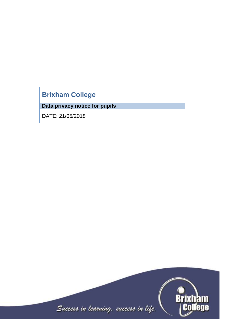# **Brixham College**

**Data privacy notice for pupils**

DATE: 21/05/2018

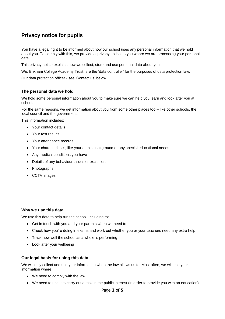# **Privacy notice for pupils**

You have a legal right to be informed about how our school uses any personal information that we hold about you. To comply with this, we provide a 'privacy notice' to you where we are processing your personal data.

This privacy notice explains how we collect, store and use personal data about you.

We, Brixham College Academy Trust, are the 'data controller' for the purposes of data protection law.

Our data protection officer - see 'Contact us' below.

# **The personal data we hold**

We hold some personal information about you to make sure we can help you learn and look after you at school.

For the same reasons, we get information about you from some other places too – like other schools, the local council and the government.

This information includes:

- Your contact details
- Your test results
- Your attendance records
- Your characteristics, like your ethnic background or any special educational needs
- Any medical conditions you have
- Details of any behaviour issues or exclusions
- Photographs
- CCTV images

#### **Why we use this data**

We use this data to help run the school, including to:

- Get in touch with you and your parents when we need to
- Check how you're doing in exams and work out whether you or your teachers need any extra help
- Track how well the school as a whole is performing
- Look after your wellbeing

#### **Our legal basis for using this data**

We will only collect and use your information when the law allows us to. Most often, we will use your information where:

- We need to comply with the law
- We need to use it to carry out a task in the public interest (in order to provide you with an education)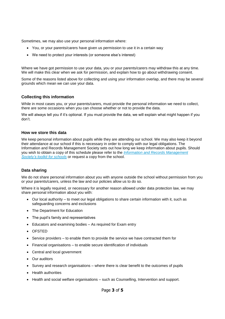Sometimes, we may also use your personal information where:

- You, or your parents/carers have given us permission to use it in a certain way
- We need to protect your interests (or someone else's interest)

Where we have got permission to use your data, you or your parents/carers may withdraw this at any time. We will make this clear when we ask for permission, and explain how to go about withdrawing consent.

Some of the reasons listed above for collecting and using your information overlap, and there may be several grounds which mean we can use your data.

#### **Collecting this information**

While in most cases you, or your parents/carers, must provide the personal information we need to collect, there are some occasions when you can choose whether or not to provide the data.

We will always tell you if it's optional. If you must provide the data, we will explain what might happen if you don't.

#### **How we store this data**

We keep personal information about pupils while they are attending our school. We may also keep it beyond their attendance at our school if this is necessary in order to comply with our legal obligations. The Information and Records Management Society sets out how long we keep information about pupils. Should you wish to obtain a copy of this schedule please refer to the *[Information and Records Management](http://irms.org.uk/?page=schoolstoolkit&terms=%22toolkit+and+schools%22)  [Society's toolkit for schools](http://irms.org.uk/?page=schoolstoolkit&terms=%22toolkit+and+schools%22)* or request a copy from the school.

# **Data sharing**

We do not share personal information about you with anyone outside the school without permission from you or your parents/carers, unless the law and our policies allow us to do so.

Where it is legally required, or necessary for another reason allowed under data protection law, we may share personal information about you with:

- Our local authority to meet our legal obligations to share certain information with it, such as safeguarding concerns and exclusions
- The Department for Education
- The pupil's family and representatives
- Educators and examining bodies As required for Exam entry
- OFSTED
- $\bullet$  Service providers to enable them to provide the service we have contracted them for
- Financial organisations to enable secure identification of individuals
- Central and local government
- Our auditors
- Survey and research organisations where there is clear benefit to the outcomes of pupils
- Health authorities
- Health and social welfare organisations such as Counselling, Intervention and support.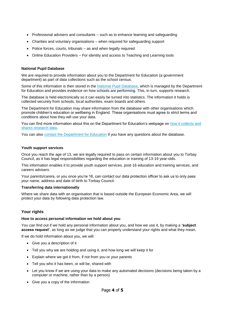- Professional advisers and consultants such as to enhance learning and safeguarding
- Charities and voluntary organisations when required for safeguarding support
- Police forces, courts, tribunals as and when legally required
- Online Education Providers For identity and access to Teaching and Learning tools

#### **National Pupil Database**

We are required to provide information about you to the Department for Education (a government department) as part of data collections such as the school census.

Some of this information is then stored in the [National Pupil Database,](https://www.gov.uk/government/publications/national-pupil-database-user-guide-and-supporting-information) which is managed by the Department for Education and provides evidence on how schools are performing. This, in turn, supports research.

The database is held electronically so it can easily be turned into statistics. The information it holds is collected securely from schools, local authorities, exam boards and others.

The Department for Education may share information from the database with other organisations which promote children's education or wellbeing in England. These organisations must agree to strict terms and conditions about how they will use your data.

You can find more information about this on the Department for Education's webpage on how it collects and [shares research data.](https://www.gov.uk/data-protection-how-we-collect-and-share-research-data)

You can also [contact the Department for Education](https://www.gov.uk/contact-dfe) if you have any questions about the database.

#### **Youth support services**

Once you reach the age of 13, we are legally required to pass on certain information about you to Torbay Council, as it has legal responsibilities regarding the education or training of 13-19 year-olds.

This information enables it to provide youth support services, post-16 education and training services, and careers advisers.

Your parents/carers, or you once you're 16, can contact our data protection officer to ask us to only pass your name, address and date of birth to Torbay Council.

#### **Transferring data internationally**

Where we share data with an organisation that is based outside the European Economic Area, we will protect your data by following data protection law.

# **Your rights**

#### **How to access personal information we hold about you**

You can find out if we hold any personal information about you, and how we use it, by making a **'subject access request'**, as long as we judge that you can properly understand your rights and what they mean.

If we do hold information about you, we will:

- Give you a description of it
- Tell you why we are holding and using it, and how long we will keep it for
- Explain where we got it from, if not from you or your parents
- Tell you who it has been, or will be, shared with
- Let you know if we are using your data to make any automated decisions (decisions being taken by a computer or machine, rather than by a person)
- Give you a copy of the information